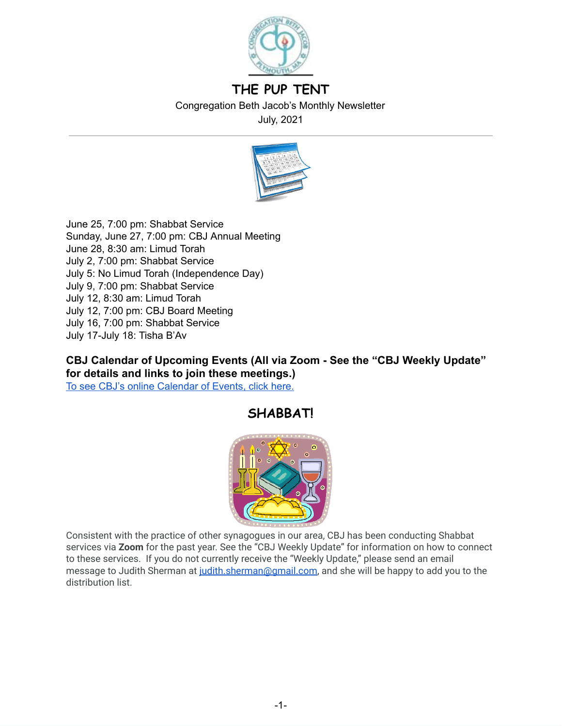

# **THE PUP TENT**

Congregation Beth Jacob's Monthly Newsletter

July, 2021



June 25, 7:00 pm: Shabbat Service Sunday, June 27, 7:00 pm: CBJ Annual Meeting June 28, 8:30 am: Limud Torah July 2, 7:00 pm: Shabbat Service July 5: No Limud Torah (Independence Day) July 9, 7:00 pm: Shabbat Service July 12, 8:30 am: Limud Torah July 12, 7:00 pm: CBJ Board Meeting July 16, 7:00 pm: Shabbat Service July 17-July 18: Tisha B'Av

**CBJ Calendar of Upcoming Events (All via Zoom - See the "CBJ Weekly Update" for details and links to join these meetings.)** To see CBJ's online [Calendar](http://cbjplymouth.org/) of Events, click here.

# **SHABBAT!**



Consistent with the practice of other synagogues in our area, CBJ has been conducting Shabbat services via **Zoom** for the past year. See the "CBJ Weekly Update" for information on how to connect to these services. If you do not currently receive the "Weekly Update," please send an email message to Judith Sherman at [judith.sherman@gmail.com,](mailto:judith.sherman@gmail.com) and she will be happy to add you to the distribution list.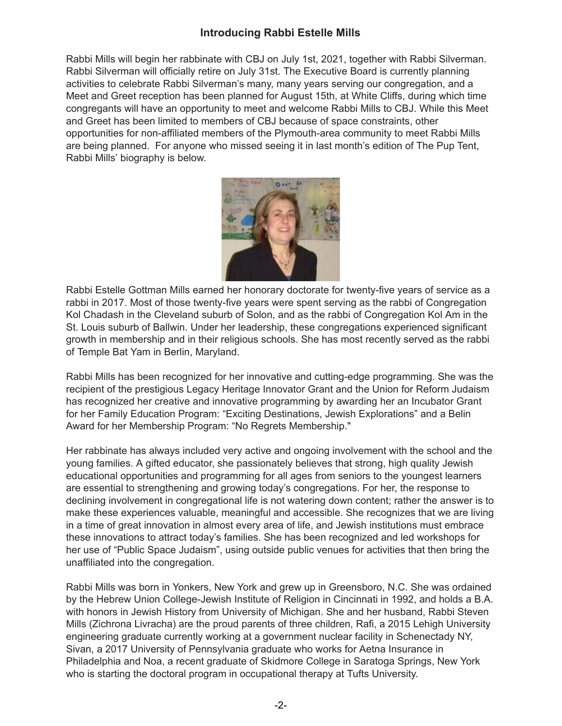## **Introducing Rabbi Estelle Mills**

Rabbi Mills will begin her rabbinate with CBJ on July 1st, 2021, together with Rabbi Silverman. Rabbi Silverman will officially retire on July 31st. The Executive Board is currently planning activities to celebrate Rabbi Silverman's many, many years serving our congregation, and a Meet and Greet reception has been planned for August 15th, at White Cliffs, during which time congregants will have an opportunity to meet and welcome Rabbi Mills to CBJ. While this Meet and Greet has been limited to members of CBJ because of space constraints, other opportunities for non-affiliated members of the Plymouth-area community to meet Rabbi Mills are being planned. For anyone who missed seeing it in last month's edition of The Pup Tent, Rabbi Mills' biography is below.



Rabbi Estelle Gottman Mills earned her honorary doctorate for twenty-five years of service as a rabbi in 2017. Most of those twenty-five years were spent serving as the rabbi of Congregation Kol Chadash in the Cleveland suburb of Solon, and as the rabbi of Congregation Kol Am in the St. Louis suburb of Ballwin. Under her leadership, these congregations experienced significant growth in membership and in their religious schools. She has most recently served as the rabbi of Temple Bat Yam in Berlin, Maryland.

Rabbi Mills has been recognized for her innovative and cutting-edge programming. She was the recipient of the prestigious Legacy Heritage Innovator Grant and the Union for Reform Judaism has recognized her creative and innovative programming by awarding her an Incubator Grant for her Family Education Program: "Exciting Destinations, Jewish Explorations" and a Belin Award for her Membership Program: "No Regrets Membership."

Her rabbinate has always included very active and ongoing involvement with the school and the young families. A gifted educator, she passionately believes that strong, high quality Jewish educational opportunities and programming for all ages from seniors to the youngest learners are essential to strengthening and growing today's congregations. For her, the response to declining involvement in congregational life is not watering down content; rather the answer is to make these experiences valuable, meaningful and accessible. She recognizes that we are living in a time of great innovation in almost every area of life, and Jewish institutions must embrace these innovations to attract today's families. She has been recognized and led workshops for her use of "Public Space Judaism", using outside public venues for activities that then bring the unaffiliated into the congregation.

Rabbi Mills was born in Yonkers, New York and grew up in Greensboro, N.C. She was ordained by the Hebrew Union College-Jewish Institute of Religion in Cincinnati in 1992, and holds a B.A. with honors in Jewish History from University of Michigan. She and her husband, Rabbi Steven Mills (Zichrona Livracha) are the proud parents of three children, Rafi, a 2015 Lehigh University engineering graduate currently working at a government nuclear facility in Schenectady NY, Sivan, a 2017 University of Pennsylvania graduate who works for Aetna Insurance in Philadelphia and Noa, a recent graduate of Skidmore College in Saratoga Springs, New York who is starting the doctoral program in occupational therapy at Tufts University.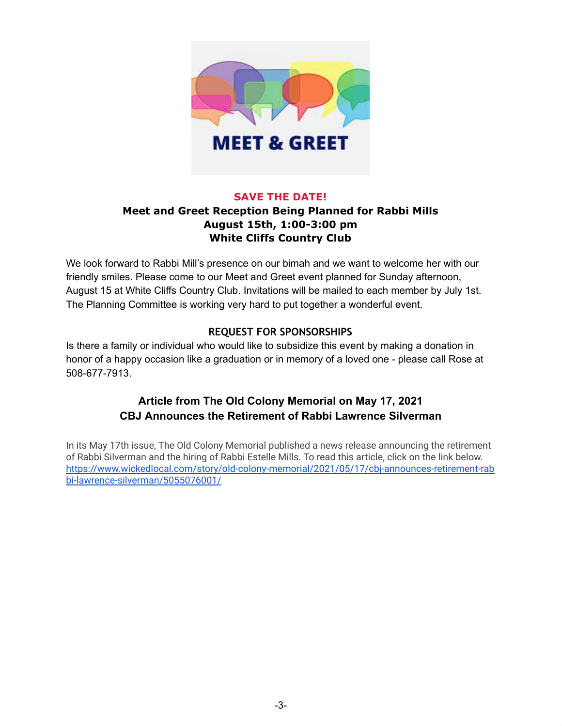

### **SAVE THE DATE!**

## **Meet and Greet Reception Being Planned for Rabbi Mills August 15th, 1:00-3:00 pm White Cliffs Country Club**

We look forward to Rabbi Mill's presence on our bimah and we want to welcome her with our friendly smiles. Please come to our Meet and Greet event planned for Sunday afternoon, August 15 at White Cliffs Country Club. Invitations will be mailed to each member by July 1st. The Planning Committee is working very hard to put together a wonderful event.

### **REQUEST FOR SPONSORSHIPS**

Is there a family or individual who would like to subsidize this event by making a donation in honor of a happy occasion like a graduation or in memory of a loved one - please call Rose at 508-677-7913.

## **Article from The Old Colony Memorial on May 17, 2021 CBJ Announces the Retirement of Rabbi Lawrence Silverman**

In its May 17th issue, The Old Colony Memorial published a news release announcing the retirement of Rabbi Silverman and the hiring of Rabbi Estelle Mills. To read this article, click on the link below. [https://www.wickedlocal.com/story/old-colony-memorial/2021/05/17/cbj-announces-retirement-rab](https://www.wickedlocal.com/story/old-colony-memorial/2021/05/17/cbj-announces-retirement-rabbi-lawrence-silverman/5055076001/) [bi-lawrence-silverman/5055076001/](https://www.wickedlocal.com/story/old-colony-memorial/2021/05/17/cbj-announces-retirement-rabbi-lawrence-silverman/5055076001/)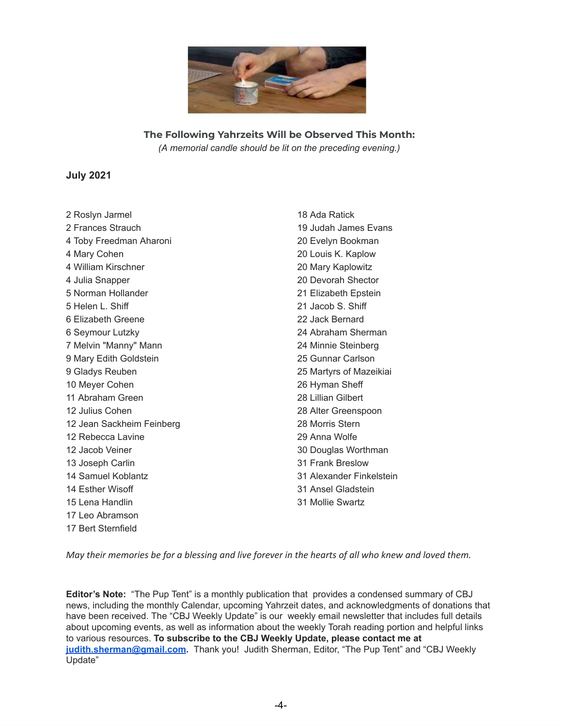

**The Following Yahrzeits Will be Observed This Month:** *(A memorial candle should be lit on the preceding evening.)*

#### **July 2021**

 Roslyn Jarmel Frances Strauch Toby Freedman Aharoni Mary Cohen William Kirschner Julia Snapper Norman Hollander Helen L. Shiff Elizabeth Greene Seymour Lutzky Melvin "Manny" Mann Mary Edith Goldstein Gladys Reuben Meyer Cohen Abraham Green Julius Cohen Jean Sackheim Feinberg Rebecca Lavine Jacob Veiner Joseph Carlin Samuel Koblantz Esther Wisoff Lena Handlin Leo Abramson Bert Sternfield

 Ada Ratick Judah James Evans Evelyn Bookman Louis K. Kaplow Mary Kaplowitz Devorah Shector Elizabeth Epstein Jacob S. Shiff Jack Bernard Abraham Sherman Minnie Steinberg Gunnar Carlson Martyrs of Mazeikiai Hyman Sheff Lillian Gilbert Alter Greenspoon Morris Stern Anna Wolfe Douglas Worthman Frank Breslow Alexander Finkelstein Ansel Gladstein Mollie Swartz

May their memories be for a blessing and live forever in the hearts of all who knew and loved them.

**Editor's Note:** "The Pup Tent" is a monthly publication that provides a condensed summary of CBJ news, including the monthly Calendar, upcoming Yahrzeit dates, and acknowledgments of donations that have been received. The "CBJ Weekly Update" is our weekly email newsletter that includes full details about upcoming events, as well as information about the weekly Torah reading portion and helpful links to various resources. **To subscribe to the CBJ Weekly Update, please contact me at [judith.sherman@gmail.com](mailto:judith.sherman@gmail.com).** Thank you! Judith Sherman, Editor, "The Pup Tent" and "CBJ Weekly Update"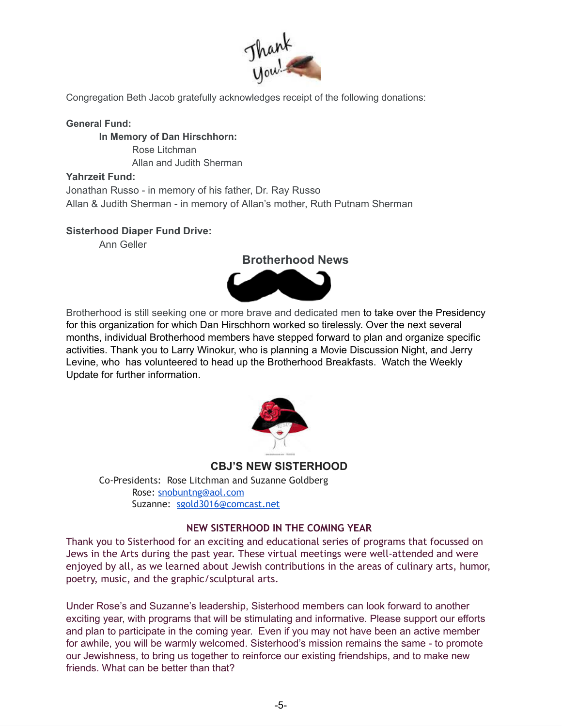

Congregation Beth Jacob gratefully acknowledges receipt of the following donations:

#### **General Fund:**

**In Memory of Dan Hirschhorn:** Rose Litchman Allan and Judith Sherman

#### **Yahrzeit Fund:**

Jonathan Russo - in memory of his father, Dr. Ray Russo Allan & Judith Sherman - in memory of Allan's mother, Ruth Putnam Sherman

#### **Sisterhood Diaper Fund Drive:**

Ann Geller



Brotherhood is still seeking one or more brave and dedicated men to take over the Presidency for this organization for which Dan Hirschhorn worked so tirelessly. Over the next several months, individual Brotherhood members have stepped forward to plan and organize specific activities. Thank you to Larry Winokur, who is planning a Movie Discussion Night, and Jerry Levine, who has volunteered to head up the Brotherhood Breakfasts. Watch the Weekly Update for further information.



**CBJ'S NEW SISTERHOOD**

Co-Presidents: Rose Litchman and Suzanne Goldberg Rose: [snobuntng@aol.com](mailto:snobuntng@aol.com) Suzanne: [sgold3016@comcast.net](mailto:sgold3016@comcast.net)

#### **NEW SISTERHOOD IN THE COMING YEAR**

Thank you to Sisterhood for an exciting and educational series of programs that focussed on Jews in the Arts during the past year. These virtual meetings were well-attended and were enjoyed by all, as we learned about Jewish contributions in the areas of culinary arts, humor, poetry, music, and the graphic/sculptural arts.

Under Rose's and Suzanne's leadership, Sisterhood members can look forward to another exciting year, with programs that will be stimulating and informative. Please support our efforts and plan to participate in the coming year. Even if you may not have been an active member for awhile, you will be warmly welcomed. Sisterhood's mission remains the same - to promote our Jewishness, to bring us together to reinforce our existing friendships, and to make new friends. What can be better than that?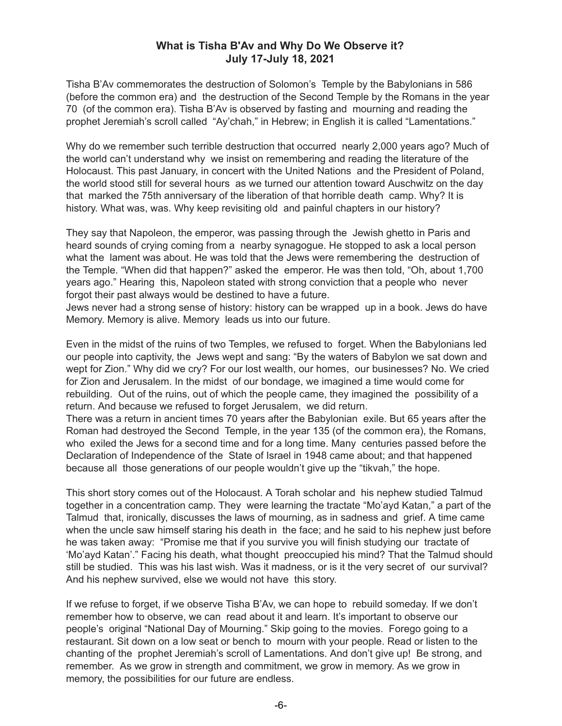### **What is Tisha B'Av and Why Do We Observe it? July 17-July 18, 2021**

Tisha B'Av commemorates the destruction of Solomon's Temple by the Babylonians in 586 (before the common era) and the destruction of the Second Temple by the Romans in the year 70 (of the common era). Tisha B'Av is observed by fasting and mourning and reading the prophet Jeremiah's scroll called "Ay'chah," in Hebrew; in English it is called "Lamentations."

Why do we remember such terrible destruction that occurred nearly 2,000 years ago? Much of the world can't understand why we insist on remembering and reading the literature of the Holocaust. This past January, in concert with the United Nations and the President of Poland, the world stood still for several hours as we turned our attention toward Auschwitz on the day that marked the 75th anniversary of the liberation of that horrible death camp. Why? It is history. What was, was. Why keep revisiting old and painful chapters in our history?

They say that Napoleon, the emperor, was passing through the Jewish ghetto in Paris and heard sounds of crying coming from a nearby synagogue. He stopped to ask a local person what the lament was about. He was told that the Jews were remembering the destruction of the Temple. "When did that happen?" asked the emperor. He was then told, "Oh, about 1,700 years ago." Hearing this, Napoleon stated with strong conviction that a people who never forgot their past always would be destined to have a future.

Jews never had a strong sense of history: history can be wrapped up in a book. Jews do have Memory. Memory is alive. Memory leads us into our future.

Even in the midst of the ruins of two Temples, we refused to forget. When the Babylonians led our people into captivity, the Jews wept and sang: "By the waters of Babylon we sat down and wept for Zion." Why did we cry? For our lost wealth, our homes, our businesses? No. We cried for Zion and Jerusalem. In the midst of our bondage, we imagined a time would come for rebuilding. Out of the ruins, out of which the people came, they imagined the possibility of a return. And because we refused to forget Jerusalem, we did return.

There was a return in ancient times 70 years after the Babylonian exile. But 65 years after the Roman had destroyed the Second Temple, in the year 135 (of the common era), the Romans, who exiled the Jews for a second time and for a long time. Many centuries passed before the Declaration of Independence of the State of Israel in 1948 came about; and that happened because all those generations of our people wouldn't give up the "tikvah," the hope.

This short story comes out of the Holocaust. A Torah scholar and his nephew studied Talmud together in a concentration camp. They were learning the tractate "Mo'ayd Katan," a part of the Talmud that, ironically, discusses the laws of mourning, as in sadness and grief. A time came when the uncle saw himself staring his death in the face; and he said to his nephew just before he was taken away: "Promise me that if you survive you will finish studying our tractate of 'Mo'ayd Katan'." Facing his death, what thought preoccupied his mind? That the Talmud should still be studied. This was his last wish. Was it madness, or is it the very secret of our survival? And his nephew survived, else we would not have this story.

If we refuse to forget, if we observe Tisha B'Av, we can hope to rebuild someday. If we don't remember how to observe, we can read about it and learn. It's important to observe our people's original "National Day of Mourning." Skip going to the movies. Forego going to a restaurant. Sit down on a low seat or bench to mourn with your people. Read or listen to the chanting of the prophet Jeremiah's scroll of Lamentations. And don't give up! Be strong, and remember. As we grow in strength and commitment, we grow in memory. As we grow in memory, the possibilities for our future are endless.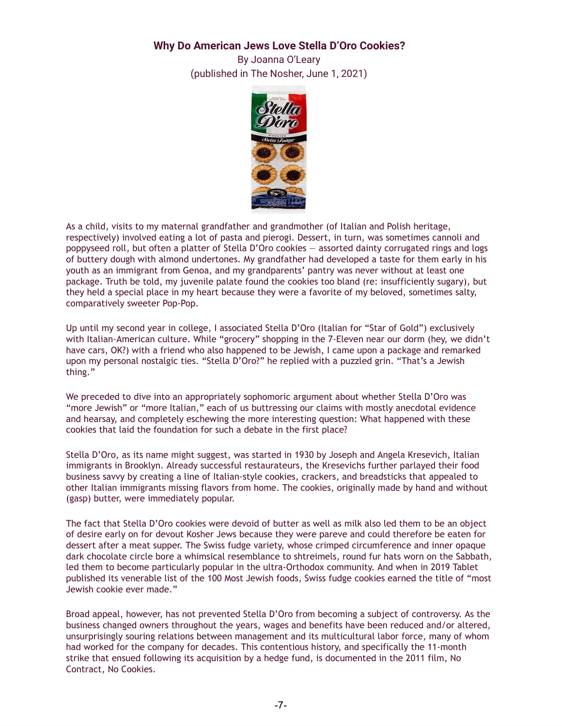#### **Why Do American Jews Love Stella D'Oro Cookies?**

By Joanna O'Leary (published in The Nosher, June 1, 2021)



As a child, visits to my maternal grandfather and grandmother (of Italian and Polish heritage, respectively) involved eating a lot of pasta and pierogi. Dessert, in turn, was sometimes cannoli and poppyseed roll, but often a platter of Stella D'Oro cookies — assorted dainty corrugated rings and logs of buttery dough with almond undertones. My grandfather had developed a taste for them early in his youth as an immigrant from Genoa, and my grandparents' pantry was never without at least one package. Truth be told, my juvenile palate found the cookies too bland (re: insufficiently sugary), but they held a special place in my heart because they were a favorite of my beloved, sometimes salty, comparatively sweeter Pop-Pop.

Up until my second year in college, I associated Stella D'Oro (Italian for "Star of Gold") exclusively with Italian-American culture. While "grocery" shopping in the 7-Eleven near our dorm (hey, we didn't have cars, OK?) with a friend who also happened to be Jewish, I came upon a package and remarked upon my personal nostalgic ties. "Stella D'Oro?" he replied with a puzzled grin. "That's a Jewish thing."

We preceded to dive into an appropriately sophomoric argument about whether Stella D'Oro was "more Jewish" or "more Italian," each of us buttressing our claims with mostly anecdotal evidence and hearsay, and completely eschewing the more interesting question: What happened with these cookies that laid the foundation for such a debate in the first place?

Stella D'Oro, as its name might suggest, was started in 1930 by Joseph and Angela Kresevich, Italian immigrants in Brooklyn. Already successful restaurateurs, the Kresevichs further parlayed their food business savvy by creating a line of Italian-style cookies, crackers, and breadsticks that appealed to other Italian immigrants missing flavors from home. The cookies, originally made by hand and without (gasp) butter, were immediately popular.

The fact that Stella D'Oro cookies were devoid of butter as well as milk also led them to be an object of desire early on for devout Kosher Jews because they were pareve and could therefore be eaten for dessert after a meat supper. The Swiss fudge variety, whose crimped circumference and inner opaque dark chocolate circle bore a whimsical resemblance to shtreimels, round fur hats worn on the Sabbath, led them to become particularly popular in the ultra-Orthodox community. And when in 2019 Tablet published its venerable list of the 100 Most Jewish foods, Swiss fudge cookies earned the title of "most Jewish cookie ever made."

Broad appeal, however, has not prevented Stella D'Oro from becoming a subject of controversy. As the business changed owners throughout the years, wages and benefits have been reduced and/or altered, unsurprisingly souring relations between management and its multicultural labor force, many of whom had worked for the company for decades. This contentious history, and specifically the 11-month strike that ensued following its acquisition by a hedge fund, is documented in the 2011 film, No Contract, No Cookies.